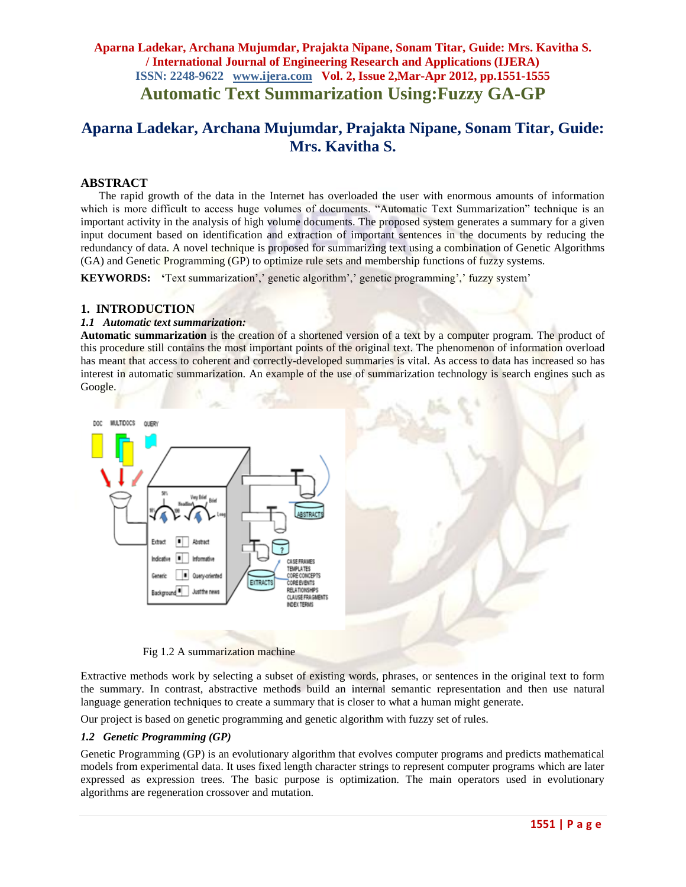# **Aparna Ladekar, Archana Mujumdar, Prajakta Nipane, Sonam Titar, Guide: Mrs. Kavitha S.**

### **ABSTRACT**

The rapid growth of the data in the Internet has overloaded the user with enormous amounts of information which is more difficult to access huge volumes of documents. "Automatic Text Summarization" technique is an important activity in the analysis of high volume documents. The proposed system generates a summary for a given input document based on identification and extraction of important sentences in the documents by reducing the redundancy of data. A novel technique is proposed for summarizing text using a combination of Genetic Algorithms (GA) and Genetic Programming (GP) to optimize rule sets and membership functions of fuzzy systems.

**KEYWORDS:** 'Text summarization',' genetic algorithm',' genetic programming',' fuzzy system'

### **1. INTRODUCTION**

#### *1.1**Automatic text summarization:*

**Automatic summarization** is the creation of a shortened version of a [text](http://en.wikipedia.org/wiki/Writing) by a [computer program.](http://en.wikipedia.org/wiki/Computer_program) The product of this procedure still contains the most important points of the original text. The phenomenon of [information overload](http://en.wikipedia.org/wiki/Information_overload) has meant that access to [coherent](http://en.wikipedia.org/wiki/Coherence_%28linguistics%29) and correctly-developed [summaries](http://en.wikipedia.org/wiki/Summary) is vital. As access to data has increased so has interest in automatic summarization. An example of the use of summarization technology is [search engines](http://en.wikipedia.org/wiki/Search_engine) such as [Google.](http://en.wikipedia.org/wiki/Google)



Fig 1.2 A summarization machine

Extractive methods work by selecting a subset of existing words, phrases, or sentences in the original text to form the summary. In contrast, abstractive methods build an internal semantic representation and then use natural language generation techniques to create a summary that is closer to what a human might generate.

Our project is based on genetic programming and genetic algorithm with fuzzy set of rules.

### *1.2 Genetic Programming (GP)*

Genetic Programming (GP) is an evolutionary algorithm that evolves computer programs and predicts mathematical models from experimental data. It uses fixed length character strings to represent computer programs which are later expressed as expression trees. The basic purpose is optimization. The main operators used in evolutionary algorithms are regeneration crossover and mutation.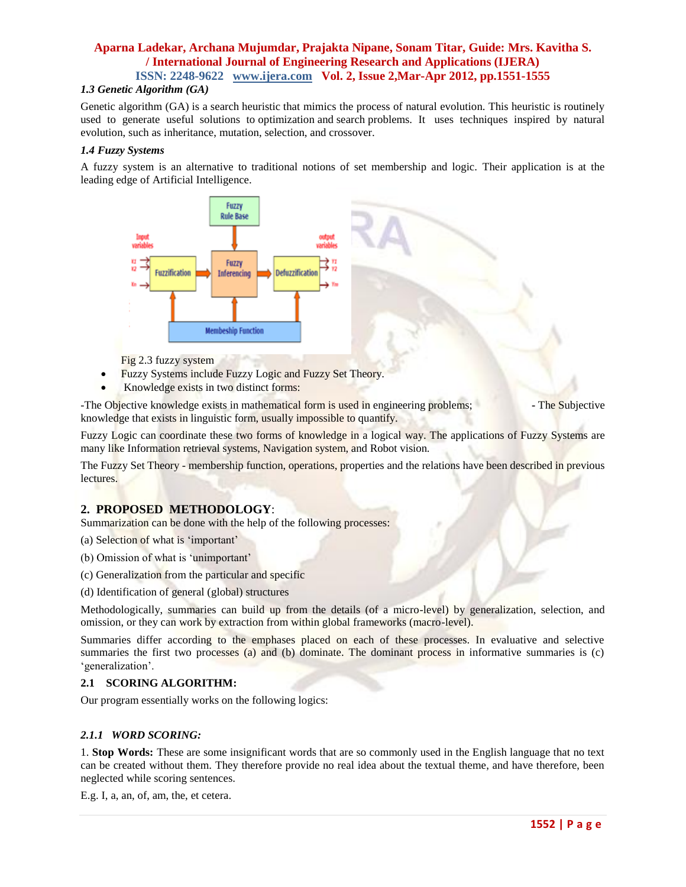### *1.3 Genetic Algorithm (GA)*

Genetic algorithm (GA) is a [search](http://en.wikipedia.org/wiki/Search_algorithm) [heuristic](http://en.wikipedia.org/wiki/Heuristic) that mimics the process of natural evolution. This heuristic is routinely used to generate useful solutions to [optimization](http://en.wikipedia.org/wiki/Optimization_(mathematics)) and [search](http://en.wikipedia.org/wiki/Search_algorithm) [problems.](http://en.wikipedia.org/wiki/Problem) It uses techniques inspired by natural evolution, such as [inheritance,](http://en.wikipedia.org/wiki/Heredity) [mutation,](http://en.wikipedia.org/wiki/Mutation_(genetic_algorithm)) [selection,](http://en.wikipedia.org/wiki/Selection_(genetic_algorithm)) and [crossover.](http://en.wikipedia.org/wiki/Crossover_(genetic_algorithm))

### *1.4 Fuzzy Systems*

A fuzzy system is an alternative to traditional notions of set membership and logic. Their application is at the leading edge of Artificial Intelligence.



Fig 2.3 fuzzy system

- Fuzzy Systems include Fuzzy Logic and Fuzzy Set Theory.
- Knowledge exists in two distinct forms:

-The Objective knowledge exists in mathematical form is used in engineering problems; **-** The Subjective knowledge that exists in linguistic form, usually impossible to quantify.

Fuzzy Logic can coordinate these two forms of knowledge in a logical way. The applications of Fuzzy Systems are many like Information retrieval systems, Navigation system, and Robot vision.

The Fuzzy Set Theory - membership function, operations, properties and the relations have been described in previous lectures.

### **2. PROPOSED METHODOLOGY**:

Summarization can be done with the help of the following processes:

- (a) Selection of what is "important"
- (b) Omission of what is 'unimportant'
- (c) Generalization from the particular and specific
- (d) Identification of general (global) structures

Methodologically, summaries can build up from the details (of a micro-level) by generalization, selection, and omission, or they can work by extraction from within global frameworks (macro-level).

Summaries differ according to the emphases placed on each of these processes. In evaluative and selective summaries the first two processes (a) and (b) dominate. The dominant process in informative summaries is (c) 'generalization'.

#### **2.1 SCORING ALGORITHM:**

Our program essentially works on the following logics:

#### *2.1.1 WORD SCORING:*

1. **Stop Words:** These are some insignificant words that are so commonly used in the English language that no text can be created without them. They therefore provide no real idea about the textual theme, and have therefore, been neglected while scoring sentences.

E.g. I, a, an, of, am, the, et cetera.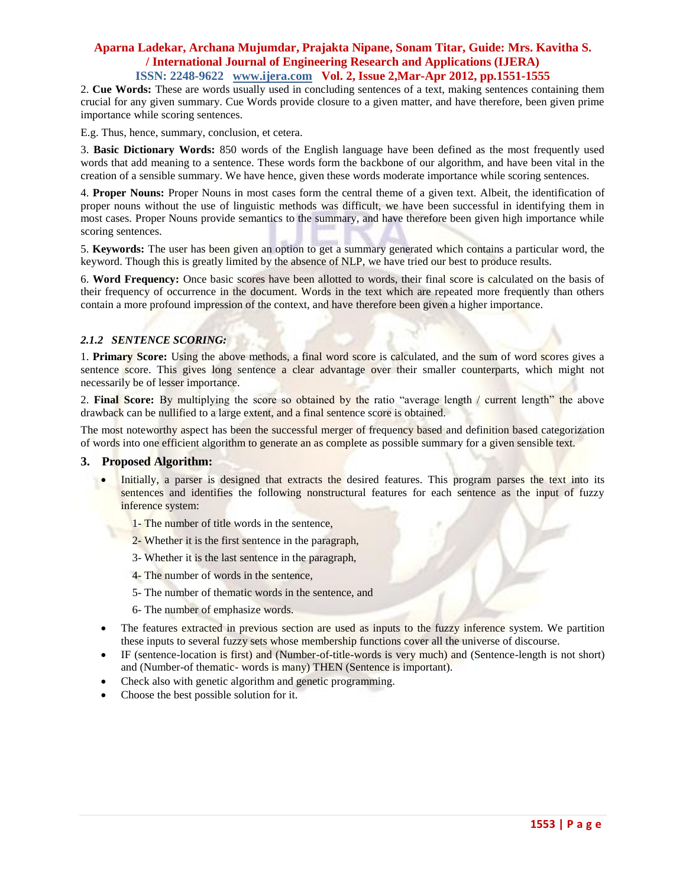2. **Cue Words:** These are words usually used in concluding sentences of a text, making sentences containing them crucial for any given summary. Cue Words provide closure to a given matter, and have therefore, been given prime importance while scoring sentences.

E.g. Thus, hence, summary, conclusion, et cetera.

3. **Basic Dictionary Words:** 850 words of the English language have been defined as the most frequently used words that add meaning to a sentence. These words form the backbone of our algorithm, and have been vital in the creation of a sensible summary. We have hence, given these words moderate importance while scoring sentences.

4. **Proper Nouns:** Proper Nouns in most cases form the central theme of a given text. Albeit, the identification of proper nouns without the use of linguistic methods was difficult, we have been successful in identifying them in most cases. Proper Nouns provide semantics to the summary, and have therefore been given high importance while scoring sentences.

5. **Keywords:** The user has been given an option to get a summary generated which contains a particular word, the keyword. Though this is greatly limited by the absence of NLP, we have tried our best to produce results.

6. **Word Frequency:** Once basic scores have been allotted to words, their final score is calculated on the basis of their frequency of occurrence in the document. Words in the text which are repeated more frequently than others contain a more profound impression of the context, and have therefore been given a higher importance.

### *2.1.2 SENTENCE SCORING:*

1. **Primary Score:** Using the above methods, a final word score is calculated, and the sum of word scores gives a sentence score. This gives long sentence a clear advantage over their smaller counterparts, which might not necessarily be of lesser importance.

2. **Final Score:** By multiplying the score so obtained by the ratio "average length / current length" the above drawback can be nullified to a large extent, and a final sentence score is obtained.

The most noteworthy aspect has been the successful merger of frequency based and definition based categorization of words into one efficient algorithm to generate an as complete as possible summary for a given sensible text.

### **3. Proposed Algorithm:**

 Initially, a parser is designed that extracts the desired features. This program parses the text into its sentences and identifies the following nonstructural features for each sentence as the input of fuzzy inference system:

1- The number of title words in the sentence,

- 2- Whether it is the first sentence in the paragraph,
- 3- Whether it is the last sentence in the paragraph,
- 4- The number of words in the sentence,
- 5- The number of thematic words in the sentence, and
- 6- The number of emphasize words.
- The features extracted in previous section are used as inputs to the fuzzy inference system. We partition these inputs to several fuzzy sets whose membership functions cover all the universe of discourse.
- IF (sentence-location is first) and (Number-of-title-words is very much) and (Sentence-length is not short) and (Number-of thematic- words is many) THEN (Sentence is important).
- Check also with genetic algorithm and genetic programming.
- Choose the best possible solution for it.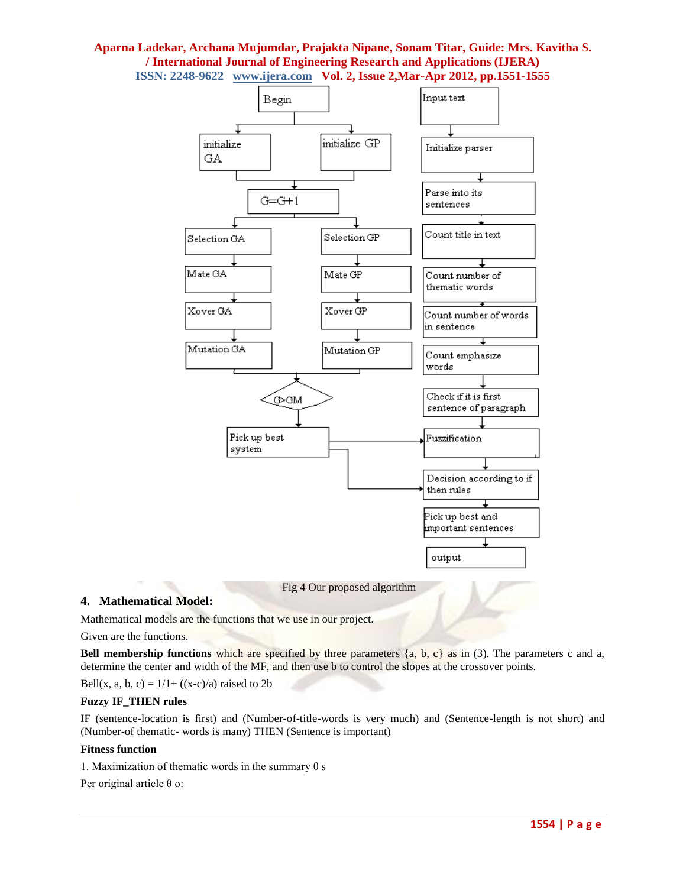

### **4. Mathematical Model:**

Mathematical models are the functions that we use in our project.

Given are the functions.

**Bell membership functions** which are specified by three parameters {a, b, c} as in (3). The parameters c and a, determine the center and width of the MF, and then use b to control the slopes at the crossover points.

Bell(x, a, b, c) =  $1/1 + ((x-c)/a)$  raised to 2b

### **Fuzzy IF\_THEN rules**

IF (sentence-location is first) and (Number-of-title-words is very much) and (Sentence-length is not short) and (Number-of thematic- words is many) THEN (Sentence is important)

#### **Fitness function**

1. Maximization of thematic words in the summary θ s

Per original article θ o: